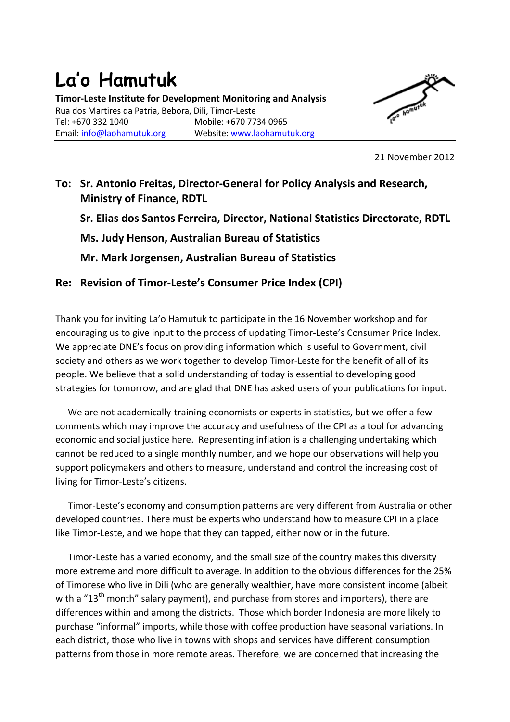## La'o Hamutuk Timor-Leste Institute for Development Monitoring and Analysis Rua dos Martires da Patria, Bebora, Dili, Timor-Leste Tel: +670 332 1040 Mobile: +670 7734 0965 Email: info@laohamutuk.org Website: www.laohamutuk.org



21 November 2012

## To: Sr. Antonio Freitas, Director-General for Policy Analysis and Research, Ministry of Finance, RDTL

Sr. Elias dos Santos Ferreira, Director, National Statistics Directorate, RDTL

Ms. Judy Henson, Australian Bureau of Statistics

Mr. Mark Jorgensen, Australian Bureau of Statistics

## Re: Revision of Timor-Leste's Consumer Price Index (CPI)

Thank you for inviting La'o Hamutuk to participate in the 16 November workshop and for encouraging us to give input to the process of updating Timor-Leste's Consumer Price Index. We appreciate DNE's focus on providing information which is useful to Government, civil society and others as we work together to develop Timor-Leste for the benefit of all of its people. We believe that a solid understanding of today is essential to developing good strategies for tomorrow, and are glad that DNE has asked users of your publications for input.

We are not academically-training economists or experts in statistics, but we offer a few comments which may improve the accuracy and usefulness of the CPI as a tool for advancing economic and social justice here. Representing inflation is a challenging undertaking which cannot be reduced to a single monthly number, and we hope our observations will help you support policymakers and others to measure, understand and control the increasing cost of living for Timor-Leste's citizens.

Timor-Leste's economy and consumption patterns are very different from Australia or other developed countries. There must be experts who understand how to measure CPI in a place like Timor-Leste, and we hope that they can tapped, either now or in the future.

Timor-Leste has a varied economy, and the small size of the country makes this diversity more extreme and more difficult to average. In addition to the obvious differences for the 25% of Timorese who live in Dili (who are generally wealthier, have more consistent income (albeit with a "13<sup>th</sup> month" salarv payment), and purchase from stores and importers), there are differences within and among the districts. Those which border Indonesia are more likely to purchase "informal" imports, while those with coffee production have seasonal variations. In each district, those who live in towns with shops and services have different consumption patterns from those in more remote areas. Therefore, we are concerned that increasing the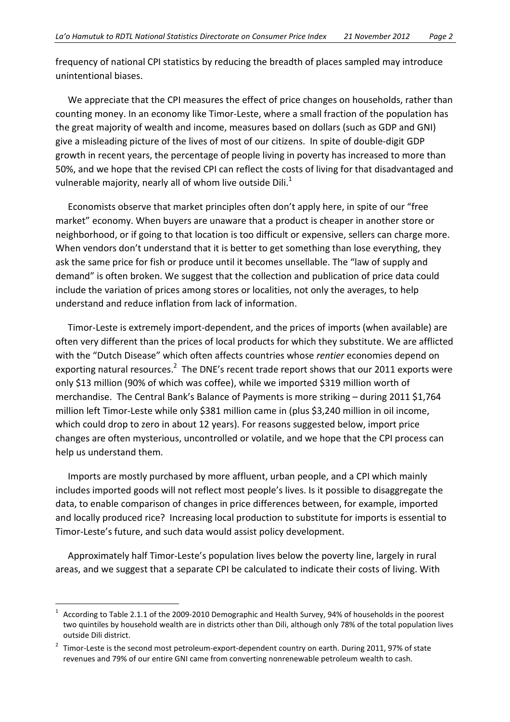frequency of national CPI statistics by reducing the breadth of places sampled may introduce unintentional biases.

We appreciate that the CPI measures the effect of price changes on households, rather than counting money. In an economy like Timor-Leste, where a small fraction of the population has the great majority of wealth and income, measures based on dollars (such as GDP and GNI) give a misleading picture of the lives of most of our citizens. In spite of double-digit GDP growth in recent years, the percentage of people living in poverty has increased to more than 50%, and we hope that the revised CPI can reflect the costs of living for that disadvantaged and vulnerable majority, nearly all of whom live outside Dili.<sup>1</sup>

Economists observe that market principles often don't apply here, in spite of our "free market" economy. When buyers are unaware that a product is cheaper in another store or neighborhood, or if going to that location is too difficult or expensive, sellers can charge more. When vendors don't understand that it is better to get something than lose everything, they ask the same price for fish or produce until it becomes unsellable. The "law of supply and demand" is often broken. We suggest that the collection and publication of price data could include the variation of prices among stores or localities, not only the averages, to help understand and reduce inflation from lack of information.

Timor-Leste is extremely import-dependent, and the prices of imports (when available) are often very different than the prices of local products for which they substitute. We are afflicted with the "Dutch Disease" which often affects countries whose rentier economies depend on exporting natural resources.<sup>2</sup> The DNE's recent trade report shows that our 2011 exports were only \$13 million (90% of which was coffee), while we imported \$319 million worth of merchandise. The Central Bank's Balance of Payments is more striking – during 2011 \$1,764 million left Timor-Leste while only \$381 million came in (plus \$3,240 million in oil income, which could drop to zero in about 12 years). For reasons suggested below, import price changes are often mysterious, uncontrolled or volatile, and we hope that the CPI process can help us understand them.

Imports are mostly purchased by more affluent, urban people, and a CPI which mainly includes imported goods will not reflect most people's lives. Is it possible to disaggregate the data, to enable comparison of changes in price differences between, for example, imported and locally produced rice? Increasing local production to substitute for imports is essential to Timor-Leste's future, and such data would assist policy development.

Approximately half Timor-Leste's population lives below the poverty line, largely in rural areas, and we suggest that a separate CPI be calculated to indicate their costs of living. With

 $\overline{a}$ 

<sup>1</sup> According to Table 2.1.1 of the 2009-2010 Demographic and Health Survey, 94% of households in the poorest two quintiles by household wealth are in districts other than Dili, although only 78% of the total population lives outside Dili district.

<sup>2</sup> Timor-Leste is the second most petroleum-export-dependent country on earth. During 2011, 97% of state revenues and 79% of our entire GNI came from converting nonrenewable petroleum wealth to cash.